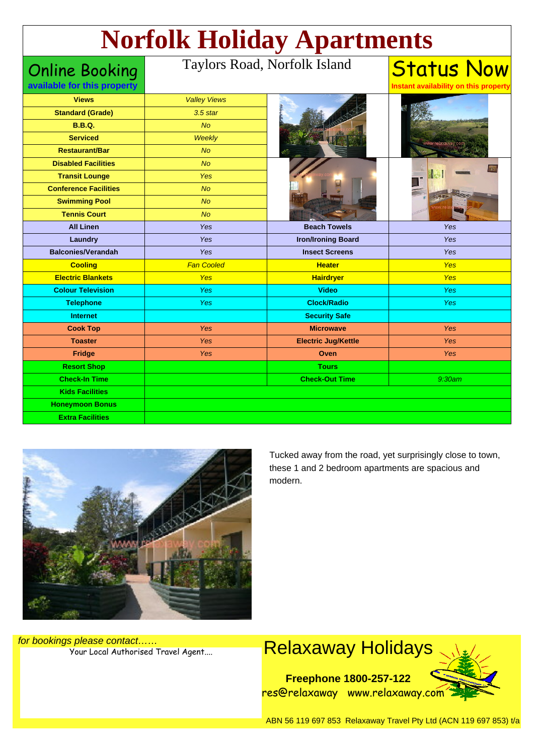# **Norfolk Holiday Apartments**

Online Booking **available for this property**

#### Taylors Road, Norfolk Island

| <b>Views</b>                 | <b>Valley Views</b> |                            |            |
|------------------------------|---------------------|----------------------------|------------|
| <b>Standard (Grade)</b>      | $3.5$ star          |                            |            |
| <b>B.B.Q.</b>                | <b>No</b>           |                            |            |
| <b>Serviced</b>              | Weekly              |                            |            |
| <b>Restaurant/Bar</b>        | <b>No</b>           |                            |            |
| <b>Disabled Facilities</b>   | N <sub>O</sub>      |                            |            |
| <b>Transit Lounge</b>        | Yes                 |                            |            |
| <b>Conference Facilities</b> | <b>No</b>           |                            |            |
| <b>Swimming Pool</b>         | <b>No</b>           |                            |            |
| <b>Tennis Court</b>          | <b>No</b>           |                            |            |
| <b>All Linen</b>             | Yes                 | <b>Beach Towels</b>        | Yes        |
| Laundry                      | Yes                 | <b>Iron/Ironing Board</b>  | Yes        |
| <b>Balconies/Verandah</b>    | Yes                 | <b>Insect Screens</b>      | Yes        |
|                              |                     |                            |            |
| <b>Cooling</b>               | <b>Fan Cooled</b>   | <b>Heater</b>              | Yes        |
| <b>Electric Blankets</b>     | <b>Yes</b>          | <b>Hairdryer</b>           | <b>Yes</b> |
| <b>Colour Television</b>     | Yes                 | <b>Video</b>               | <b>Yes</b> |
| <b>Telephone</b>             | <b>Yes</b>          | <b>Clock/Radio</b>         | <b>Yes</b> |
| <b>Internet</b>              |                     | <b>Security Safe</b>       |            |
| <b>Cook Top</b>              | Yes                 | <b>Microwave</b>           | Yes        |
| <b>Toaster</b>               | Yes                 | <b>Electric Jug/Kettle</b> | Yes        |
| Fridge                       | Yes                 | Oven                       | Yes        |
| <b>Resort Shop</b>           |                     | <b>Tours</b>               |            |
| <b>Check-In Time</b>         |                     | <b>Check-Out Time</b>      | 9:30am     |
| <b>Kids Facilities</b>       |                     |                            |            |
| <b>Honeymoon Bonus</b>       |                     |                            |            |



Tucked away from the road, yet surprisingly close to town, these 1 and 2 bedroom apartments are spacious and modern.

**Status Now** 

**Instant availability on this property**

for bookings please contact……